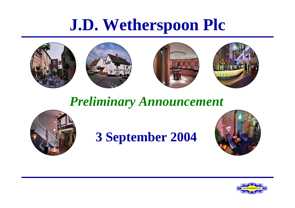# **J.D. Wetherspoon Plc**









#### *Preliminary Announcement*



#### **3 September 2004**



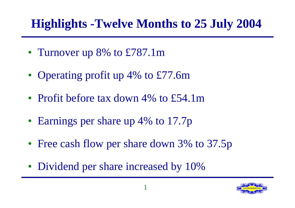## **Highlights -Twelve Months to 25 July 2004**

- Turnover up 8% to £787.1m
- Operating profit up 4% to £77.6m
- Profit before tax down 4% to £54.1m
- Earnings per share up 4% to 17.7p
- Free cash flow per share down 3% to 37.5p
- Dividend per share increased by 10%

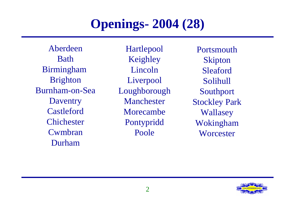#### **Openings- 2004 (28)**

AberdeenBathBirmingham Brighton Burnham-on-SeaDaventry CastlefordChichester Cwmbran Durham

Hartlepool Keighley LincolnLiverpool Loughborough ManchesterMorecambePontypridd Poole

PortsmouthSkipton SleafordSolihull Southport Stockley Park Wallasey Wokingham **Worcester** 

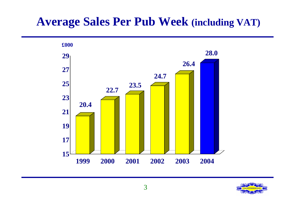#### **Average Sales Per Pub Week (including VAT)**



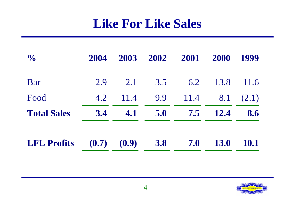#### **Like For Like Sales**

| $\frac{1}{2}$      | 2004 | 2003            | 2002 | 2001 | 2000        | 1999        |
|--------------------|------|-----------------|------|------|-------------|-------------|
| Bar                | 2.9  | 2.1             | 3.5  | 6.2  | 13.8        | 11.6        |
| Food               | 4.2  | 11.4            | 9.9  | 11.4 | 8.1         | (2.1)       |
| <b>Total Sales</b> | 3.4  | 4.1             | 5.0  | 7.5  | <b>12.4</b> | 8.6         |
| <b>LFL Profits</b> |      | $(0.7)$ $(0.9)$ | 3.8  | 7.0  | <b>13.0</b> | <b>10.1</b> |

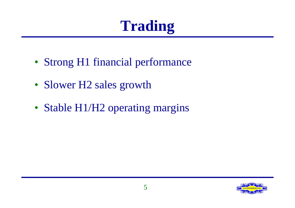# **Trading**

- Strong H1 financial performance
- Slower H2 sales growth
- Stable H1/H2 operating margins

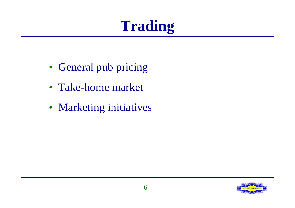# **Trading**

- General pub pricing
- Take-home market
- Marketing initiatives

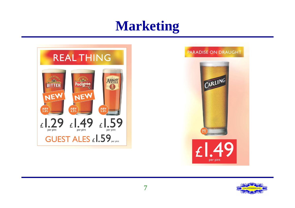## **Marketing**



#### **PARADISE ON DRAUGHT**



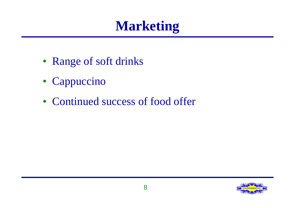# **Marketing**

- Range of soft drinks
- Cappuccino
- Continued success of food offer

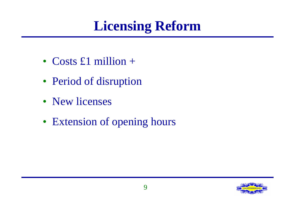# **Licensing Reform**

- Costs £1 million +
- Period of disruption
- New licenses
- Extension of opening hours

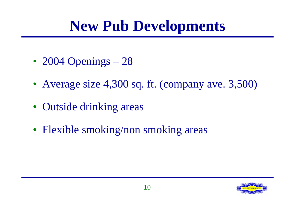# **New Pub Developments**

- 2004 Openings 28
- Average size 4,300 sq. ft. (company ave. 3,500)
- Outside drinking areas
- Flexible smoking/non smoking areas

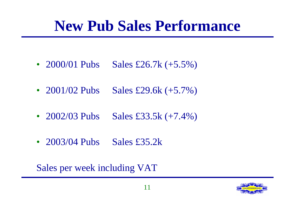# **New Pub Sales Performance**

- 2000/01 Pubs Sales £26.7k  $(+5.5\%)$
- 2001/02 Pubs Sales £29.6k  $(+5.7\%)$
- 2002/03 Pubs Sales £33.5k (+7.4%)
- 2003/04 Pubs Sales £35.2k

Sales per week including VAT

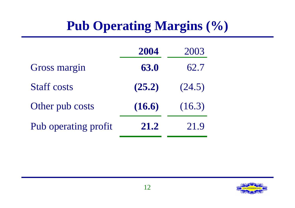## **Pub Operating Margins (%)**

|                      | 2004   | 2003   |
|----------------------|--------|--------|
| <b>Gross margin</b>  | 63.0   | 62.7   |
| <b>Staff costs</b>   | (25.2) | (24.5) |
| Other pub costs      | (16.6) | (16.3) |
| Pub operating profit | 21.2   | 21.9   |

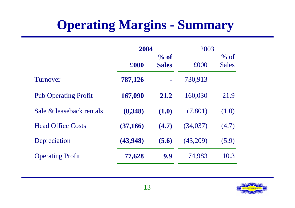## **Operating Margins - Summary**

|                             | 2004      |                         | 2003     |                        |
|-----------------------------|-----------|-------------------------|----------|------------------------|
|                             | £000      | $\%$ of<br><b>Sales</b> | £000     | $%$ of<br><b>Sales</b> |
| Turnover                    | 787,126   | Ē,                      | 730,913  |                        |
| <b>Pub Operating Profit</b> | 167,090   | 21.2                    | 160,030  | 21.9                   |
| Sale & leaseback rentals    | (8,348)   | (1.0)                   | (7,801)  | (1.0)                  |
| <b>Head Office Costs</b>    | (37, 166) | (4.7)                   | (34,037) | (4.7)                  |
| Depreciation                | (43,948)  | (5.6)                   | (43,209) | (5.9)                  |
| <b>Operating Profit</b>     | 77,628    | 9.9                     | 74,983   | 10.3                   |

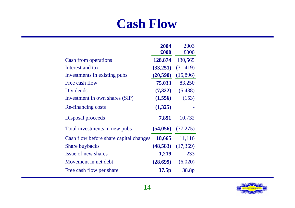#### **Cash Flow**

|                                        | 2004      | 2003                  |
|----------------------------------------|-----------|-----------------------|
|                                        | £000      | £000                  |
| <b>Cash from operations</b>            | 128,874   | 130,565               |
| Interest and tax                       | (33,251)  | (31, 419)             |
| Investments in existing pubs           | (20, 590) | (15,896)              |
| Free cash flow                         | 75,033    | 83,250                |
| <b>Dividends</b>                       | (7,322)   | (5, 438)              |
| Investment in own shares (SIP)         | (1,556)   | (153)                 |
| <b>Re-financing costs</b>              | (1,325)   |                       |
| Disposal proceeds                      | 7,891     | 10,732                |
| Total investments in new pubs          |           | $(54,056)$ $(77,275)$ |
| Cash flow before share capital changes | 18,665    | 11,116                |
| <b>Share buybacks</b>                  | (48,583)  | (17,369)              |
| Issue of new shares                    | 1,219     | 233                   |
| Movement in net debt                   | (28, 699) | (6,020)               |
| Free cash flow per share               | 37.5p     | 38.8p                 |

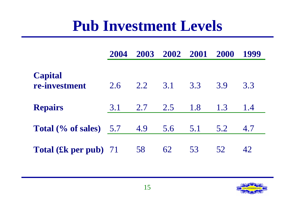# **Pub Investment Levels**

|                                 | 2004 | 2003 | 2002 2001 |     | <b>2000</b> | 1999 |
|---------------------------------|------|------|-----------|-----|-------------|------|
| <b>Capital</b><br>re-investment | 2.6  | 2.2  | 3.1       | 3.3 | 3.9         | 3.3  |
| <b>Repairs</b>                  | 3.1  | 2.7  | 2.5       | 1.8 | 1.3         | 1.4  |
| Total $(\%$ of sales) $5.7$     |      | 4.9  | 5.6       | 5.1 | 5.2         | 4.7  |
| <b>Total (£k per pub)</b> 71    |      | 58   | 62        | 53  | 52          | 42   |

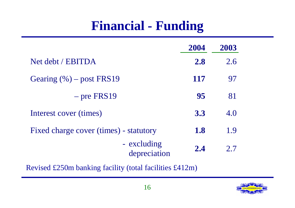#### **Financial - Funding**

|                                        | 2004 | 2003 |
|----------------------------------------|------|------|
| Net debt / EBITDA                      | 2.8  | 2.6  |
| Gearing $(\% )$ – post FRS19           | 117  | 97   |
| $-$ pre FRS19                          | 95   | 81   |
| Interest cover (times)                 | 3.3  | 4.0  |
| Fixed charge cover (times) - statutory | 1.8  | 1.9  |
| - excluding<br>depreciation            | 2.4  | 2.7  |

Revised £250m banking facility (total facilities £412m)

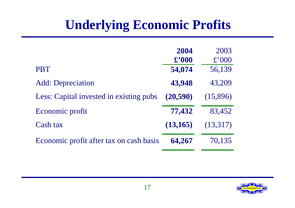#### **Underlying Economic Profits**

|                                         | 2004<br>$\pounds$ '000 | 2003<br>£'000 |
|-----------------------------------------|------------------------|---------------|
| <b>PBT</b>                              | 54,074                 | 56,139        |
| <b>Add:</b> Depreciation                | 43,948                 | 43,209        |
| Less: Capital invested in existing pubs | (20, 590)              | (15,896)      |
| Economic profit                         | 77,432                 | 83,452        |
| Cash tax                                | (13, 165)              | (13,317)      |
| Economic profit after tax on cash basis | 64,267                 | 70,135        |

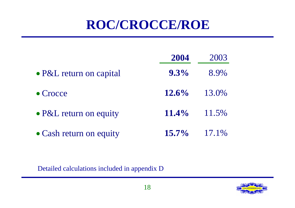#### **ROC/CROCCE/ROE**

|                                | 2004     | 2003  |
|--------------------------------|----------|-------|
| • P&L return on capital        | $9.3\%$  | 8.9%  |
| • Crocce                       | $12.6\%$ | 13.0% |
| $\bullet$ P&L return on equity | $11.4\%$ | 11.5% |
| • Cash return on equity        | $15.7\%$ | 17.1% |

Detailed calculations included in appendix D

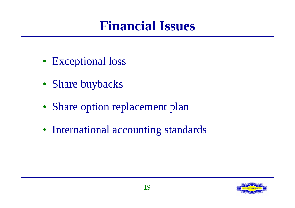## **Financial Issues**

- Exceptional loss
- Share buybacks
- Share option replacement plan
- International accounting standards

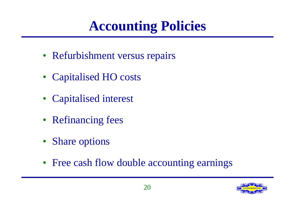# **Accounting Policies**

- Refurbishment versus repairs
- Capitalised HO costs
- Capitalised interest
- Refinancing fees
- Share options
- Free cash flow double accounting earnings

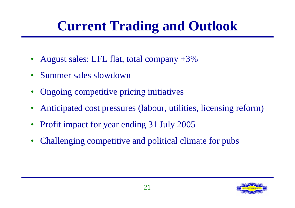# **Current Trading and Outlook**

- August sales: LFL flat, total company  $+3\%$
- Summer sales slowdown
- Ongoing competitive pricing initiatives
- Anticipated cost pressures (labour, utilities, licensing reform)
- Profit impact for year ending 31 July 2005
- Challenging competitive and political climate for pubs

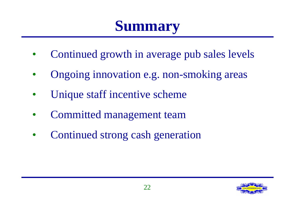# **Summary**

- Continued growth in average pub sales levels
- Ongoing innovation e.g. non-smoking areas
- Unique staff incentive scheme
- Committed management team
- Continued strong cash generation

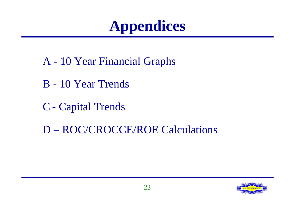# **Appendices**

- A 10 Year Financial Graphs
- B 10 Year Trends
- C Capital Trends
- D ROC/CROCCE/ROE Calculations

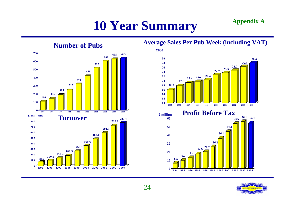## **10 Year Summary Appendix A**



#### **Average Sales Per Pub Week (including VAT)**



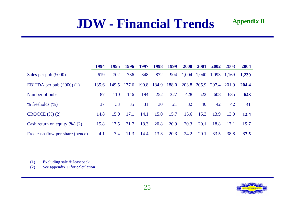#### **JDW - Financial Trends**

|                                         | 1994  | 1995  | 1996  | 1997  | 1998  | 1999  | <b>2000</b> | 2001  | 2002  | 2003  | 2004  |
|-----------------------------------------|-------|-------|-------|-------|-------|-------|-------------|-------|-------|-------|-------|
| Sales per pub $(\text{\pounds}000)$     | 619   | 702   | 786   | 848   | 872   | 904   | 1,004       | 1,040 | 1,093 | 1,169 | 1,239 |
| EBITDA per pub $(\text{\pounds}000)(1)$ | 135.6 | 149.5 | 177.6 | 190.8 | 184.9 | 188.0 | 203.8       | 205.9 | 207.4 | 201.9 | 204.4 |
| Number of pubs                          | 87    | 110   | 146   | 194   | 252   | 327   | 428         | 522   | 608   | 635   | 643   |
| $%$ freeholds $(\%)$                    | 37    | 33    | 35    | 31    | 30    | 21    | 32          | 40    | 42    | 42    | 41    |
| $CROCCE$ $(\%)(2)$                      | 14.8  | 15.0  | 17.1  | 14.1  | 15.0  | 15.7  | 15.6        | 15.3  | 13.9  | 13.0  | 12.4  |
| Cash return on equity $(\%)$ (2)        | 15.8  | 17.5  | 21.7  | 18.3  | 20.8  | 20.9  | 20.3        | 20.1  | 18.8  | 17.1  | 15.7  |
| Free cash flow per share (pence)        | 4.1   | 7.4   | 11.3  | 14.4  | 13.3  | 20.3  | 24.2        | 29.1  | 33.5  | 38.8  | 37.5  |

(1) Excluding sale & leaseback

(2) See appendix D for calculation



**Appendix B**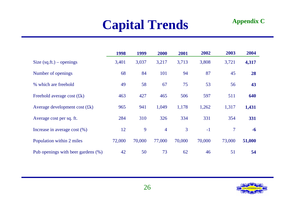#### **Capital Trends**

| <b>Appendix C</b> |  |
|-------------------|--|
|-------------------|--|

|                                    | 1998   | 1999   | 2000           | 2001   | 2002   | 2003                     | 2004   |
|------------------------------------|--------|--------|----------------|--------|--------|--------------------------|--------|
| Size $(sq.fit.)$ – openings        | 3,401  | 3,037  | 3,217          | 3,713  | 3,808  | 3,721                    | 4,317  |
| Number of openings                 | 68     | 84     | 101            | 94     | 87     | 45                       | 28     |
| % which are freehold               | 49     | 58     | 67             | 75     | 53     | 56                       | 43     |
| Freehold average cost $(fk)$       | 463    | 427    | 465            | 506    | 597    | 511                      | 640    |
| Average development cost $(fk)$    | 965    | 941    | 1,049          | 1,178  | 1,262  | 1,317                    | 1,431  |
| Average cost per sq. ft.           | 284    | 310    | 326            | 334    | 331    | 354                      | 331    |
| Increase in average cost $(\%)$    | 12     | 9      | $\overline{4}$ | 3      | $-1$   | $\overline{\mathcal{I}}$ | $-6$   |
| Population within 2 miles          | 72,000 | 70,000 | 77,000         | 70,000 | 70,000 | 73,000                   | 51,000 |
| Pub openings with beer gardens (%) | 42     | 50     | 73             | 62     | 46     | 51                       | 54     |

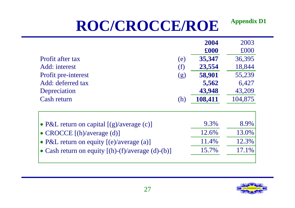#### **ROC/CROCCE/ROE Appendix D1**

|                                                           |     | 2004               | 2003    |
|-----------------------------------------------------------|-----|--------------------|---------|
|                                                           |     | $\pmb{\pounds}000$ | £000    |
| Profit after tax                                          | (e) | 35,347             | 36,395  |
| Add: interest                                             | (f) | 23,554             | 18,844  |
| Profit pre-interest                                       | (g) | 58,901             | 55,239  |
| Add: deferred tax                                         |     | 5,562              | 6,427   |
| Depreciation                                              |     | 43,948             | 43,209  |
| Cash return                                               | (h) | 108,411            | 104,875 |
|                                                           |     |                    |         |
|                                                           |     |                    |         |
| • P&L return on capital $[(g)/\text{average}(c)]$         |     | 9.3%               | 8.9%    |
| • CROCCE [(h)/average (d)]                                |     | 12.6%              | 13.0%   |
| • P&L return on equity $[(e)/average(a)]$                 |     | 11.4%              | 12.3%   |
| • Cash return on equity $[(h)-(f)/\text{average}(d)-(b)]$ |     | 15.7%              | 17.1%   |
|                                                           |     |                    |         |